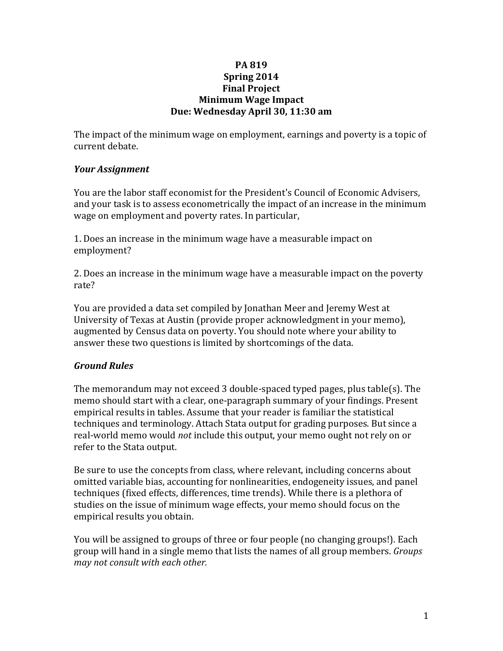### **PA 819 Spring 2014 Final Project Minimum Wage Impact Due: Wednesday April 30, 11:30 am**

The impact of the minimum wage on employment, earnings and poverty is a topic of current debate.

## *Your Assignment*

You are the labor staff economist for the President's Council of Economic Advisers, and your task is to assess econometrically the impact of an increase in the minimum wage on employment and poverty rates. In particular,

1. Does an increase in the minimum wage have a measurable impact on employment? 

2. Does an increase in the minimum wage have a measurable impact on the poverty rate? 

You are provided a data set compiled by Jonathan Meer and Jeremy West at University of Texas at Austin (provide proper acknowledgment in your memo), augmented by Census data on poverty. You should note where your ability to answer these two questions is limited by shortcomings of the data.

# *Ground Rules*

The memorandum may not exceed 3 double-spaced typed pages, plus table(s). The memo should start with a clear, one-paragraph summary of your findings. Present empirical results in tables. Assume that your reader is familiar the statistical techniques and terminology. Attach Stata output for grading purposes. But since a real-world memo would *not* include this output, your memo ought not rely on or refer to the Stata output.

Be sure to use the concepts from class, where relevant, including concerns about omitted variable bias, accounting for nonlinearities, endogeneity issues, and panel techniques (fixed effects, differences, time trends). While there is a plethora of studies on the issue of minimum wage effects, your memo should focus on the empirical results you obtain.

You will be assigned to groups of three or four people (no changing groups!). Each group will hand in a single memo that lists the names of all group members. *Groups may not consult with each other.*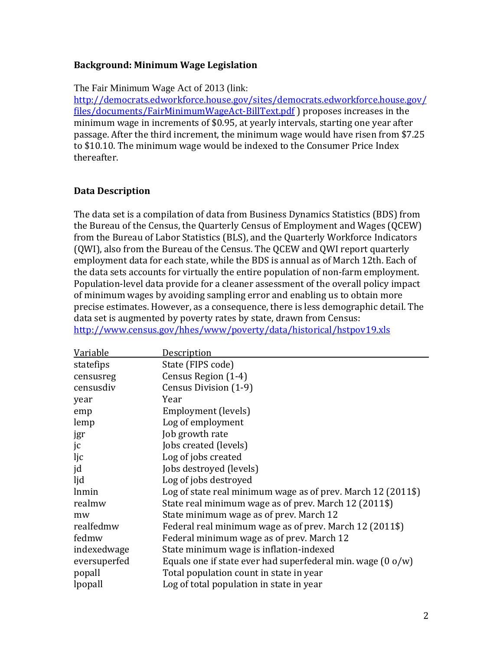### **Background: Minimum Wage Legislation**

The Fair Minimum Wage Act of 2013 (link:

http://democrats.edworkforce.house.gov/sites/democrats.edworkforce.house.gov/ files/documents/FairMinimumWageAct-BillText.pdf ) proposes increases in the minimum wage in increments of \$0.95, at yearly intervals, starting one year after passage. After the third increment, the minimum wage would have risen from \$7.25 to \$10.10. The minimum wage would be indexed to the Consumer Price Index thereafter. 

## **Data Description**

The data set is a compilation of data from Business Dynamics Statistics (BDS) from the Bureau of the Census, the Quarterly Census of Employment and Wages (QCEW) from the Bureau of Labor Statistics (BLS), and the Quarterly Workforce Indicators (QWI), also from the Bureau of the Census. The QCEW and QWI report quarterly employment data for each state, while the BDS is annual as of March 12th. Each of the data sets accounts for virtually the entire population of non-farm employment. Population-level data provide for a cleaner assessment of the overall policy impact of minimum wages by avoiding sampling error and enabling us to obtain more precise estimates. However, as a consequence, there is less demographic detail. The data set is augmented by poverty rates by state, drawn from Census: http://www.census.gov/hhes/www/poverty/data/historical/hstpov19.xls

| Variable     | <b>Description</b>                                                    |
|--------------|-----------------------------------------------------------------------|
| statefips    | State (FIPS code)                                                     |
| censusreg    | Census Region (1-4)                                                   |
| censusdiv    | Census Division (1-9)                                                 |
| year         | Year                                                                  |
| emp          | Employment (levels)                                                   |
| lemp         | Log of employment                                                     |
| jgr          | Job growth rate                                                       |
| jc           | Jobs created (levels)                                                 |
| ljc          | Log of jobs created                                                   |
| jd           | Jobs destroyed (levels)                                               |
| ljd          | Log of jobs destroyed                                                 |
| lnmin        | Log of state real minimum wage as of prev. March 12 (2011\$)          |
| realmw       | State real minimum wage as of prev. March 12 (2011\$)                 |
| mw           | State minimum wage as of prev. March 12                               |
| realfedmw    | Federal real minimum wage as of prev. March 12 (2011\$)               |
| fedmw        | Federal minimum wage as of prev. March 12                             |
| indexedwage  | State minimum wage is inflation-indexed                               |
| eversuperfed | Equals one if state ever had superfederal min. wage $(0 \text{ o/w})$ |
| popall       | Total population count in state in year                               |
| lpopall      | Log of total population in state in year                              |